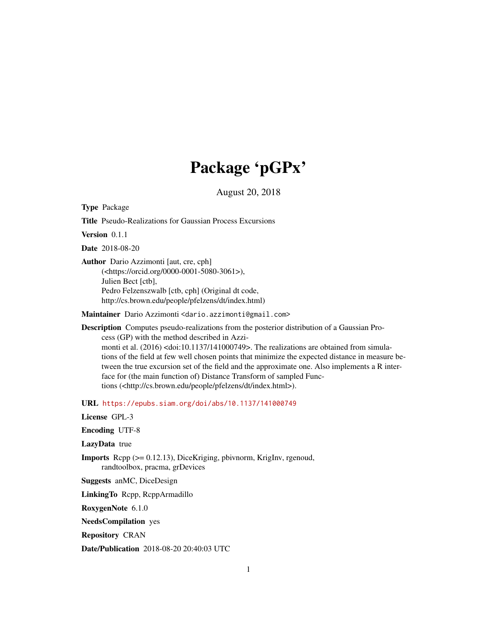# Package 'pGPx'

August 20, 2018

<span id="page-0-0"></span>Type Package

Title Pseudo-Realizations for Gaussian Process Excursions

Version 0.1.1

Date 2018-08-20

Author Dario Azzimonti [aut, cre, cph] (<https://orcid.org/0000-0001-5080-3061>), Julien Bect [ctb], Pedro Felzenszwalb [ctb, cph] (Original dt code, http://cs.brown.edu/people/pfelzens/dt/index.html)

Maintainer Dario Azzimonti <dario.azzimonti@gmail.com>

Description Computes pseudo-realizations from the posterior distribution of a Gaussian Process (GP) with the method described in Azzimonti et al. (2016) <doi:10.1137/141000749>. The realizations are obtained from simulations of the field at few well chosen points that minimize the expected distance in measure between the true excursion set of the field and the approximate one. Also implements a R interface for (the main function of) Distance Transform of sampled Functions (<http://cs.brown.edu/people/pfelzens/dt/index.html>).

URL <https://epubs.siam.org/doi/abs/10.1137/141000749>

License GPL-3

Encoding UTF-8

LazyData true

Imports Rcpp (>= 0.12.13), DiceKriging, pbivnorm, KrigInv, rgenoud, randtoolbox, pracma, grDevices

Suggests anMC, DiceDesign

LinkingTo Rcpp, RcppArmadillo

RoxygenNote 6.1.0

NeedsCompilation yes

Repository CRAN

Date/Publication 2018-08-20 20:40:03 UTC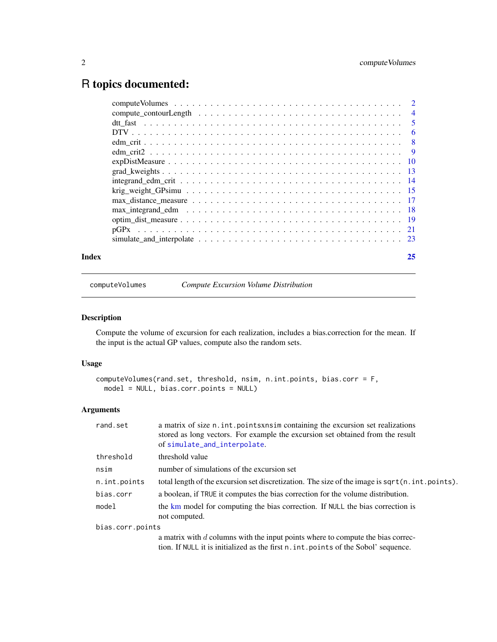# <span id="page-1-0"></span>R topics documented:

| Index | 25 |
|-------|----|
|       |    |
|       |    |
|       |    |
|       |    |
|       |    |
|       |    |
|       |    |
|       |    |
|       |    |
|       |    |
|       |    |
|       |    |
|       |    |
|       |    |
|       |    |

<span id="page-1-1"></span>computeVolumes *Compute Excursion Volume Distribution*

# Description

Compute the volume of excursion for each realization, includes a bias.correction for the mean. If the input is the actual GP values, compute also the random sets.

# Usage

```
computeVolumes(rand.set, threshold, nsim, n.int.points, bias.corr = F,
 model = NULL, bias.corr.points = NULL)
```

| rand.set         | a matrix of size n. int. points xnsim containing the excursion set realizations<br>stored as long vectors. For example the excursion set obtained from the result<br>of simulate_and_interpolate. |
|------------------|---------------------------------------------------------------------------------------------------------------------------------------------------------------------------------------------------|
| threshold        | threshold value                                                                                                                                                                                   |
| nsim             | number of simulations of the excursion set                                                                                                                                                        |
| n.int.points     | total length of the excursion set discretization. The size of the image is sqrt(n.int.points).                                                                                                    |
| bias.corr        | a boolean, if TRUE it computes the bias correction for the volume distribution.                                                                                                                   |
| model            | the km model for computing the bias correction. If NULL the bias correction is<br>not computed.                                                                                                   |
| bias.corr.points |                                                                                                                                                                                                   |
|                  | a matrix with $d$ columns with the input points where to compute the bias correc-<br>tion. If NULL it is initialized as the first n. int. points of the Sobol' sequence.                          |
|                  |                                                                                                                                                                                                   |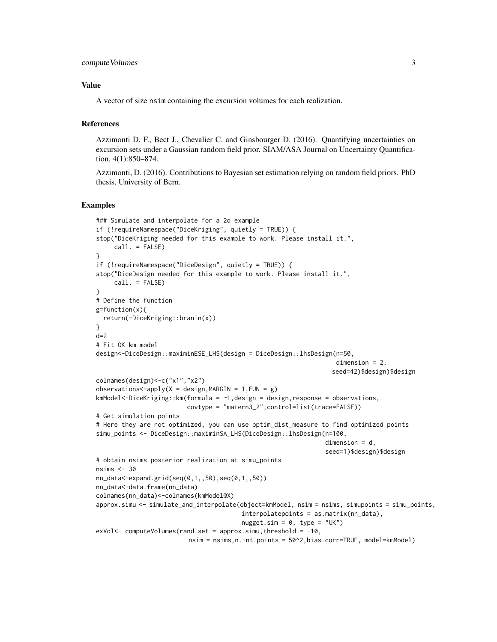```
compute Volumes 3
```
A vector of size nsim containing the excursion volumes for each realization.

# References

Azzimonti D. F., Bect J., Chevalier C. and Ginsbourger D. (2016). Quantifying uncertainties on excursion sets under a Gaussian random field prior. SIAM/ASA Journal on Uncertainty Quantification, 4(1):850–874.

Azzimonti, D. (2016). Contributions to Bayesian set estimation relying on random field priors. PhD thesis, University of Bern.

```
### Simulate and interpolate for a 2d example
if (!requireNamespace("DiceKriging", quietly = TRUE)) {
stop("DiceKriging needed for this example to work. Please install it.",
    call. = FALSE)}
if (!requireNamespace("DiceDesign", quietly = TRUE)) {
stop("DiceDesign needed for this example to work. Please install it.",
    call. = FALSE)}
# Define the function
g=function(x){
 return(-DiceKriging::branin(x))
}
d=2# Fit OK km model
design<-DiceDesign::maximinESE_LHS(design = DiceDesign::lhsDesign(n=50,
                                                                   dimension = 2,
                                                                  seed=42)$design)$design
colnames(design)<-c("x1","x2")
observations < -apply(X = design, MARGIN = 1, FUN = g)kmModel<-DiceKriging::km(formula = ~1,design = design,response = observations,
                         covtype = "matern3_2",control=list(trace=FALSE))
# Get simulation points
# Here they are not optimized, you can use optim_dist_measure to find optimized points
simu_points <- DiceDesign::maximinSA_LHS(DiceDesign::lhsDesign(n=100,
                                                                dimension = d,
                                                                seed=1)$design)$design
# obtain nsims posterior realization at simu_points
nsims <-30nn_data<-expand.grid(seq(0,1,,50),seq(0,1,,50))
nn_data<-data.frame(nn_data)
colnames(nn_data)<-colnames(kmModel@X)
approx.simu <- simulate_and_interpolate(object=kmModel, nsim = nsims, simupoints = simu_points,
                                        interpolatepoints = as.matrix(nn_data),
                                        nugget.sim = 0, type = "UK")
exVol < - computeVolumes(rand.set = approx.simu, threshold = -10,
                         nsim = nsims,n.int.points = 50^2,bias.corr=TRUE, model=kmModel)
```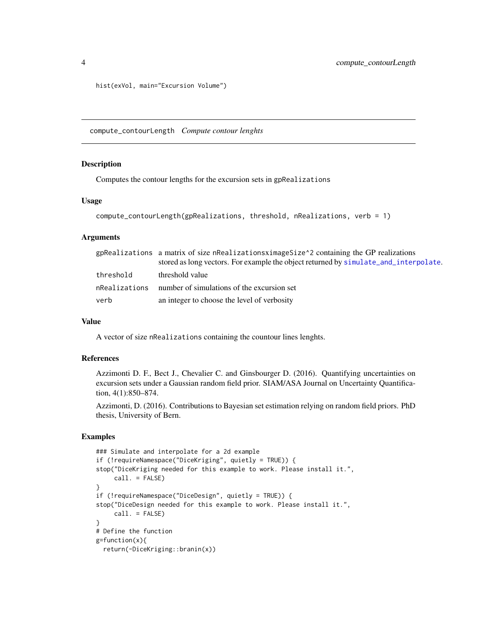```
hist(exVol, main="Excursion Volume")
```
<span id="page-3-1"></span>compute\_contourLength *Compute contour lenghts*

# Description

Computes the contour lengths for the excursion sets in gpRealizations

#### Usage

```
compute_contourLength(gpRealizations, threshold, nRealizations, verb = 1)
```
# **Arguments**

| gpRealizations a matrix of size nRealizationsximageSize^2 containing the GP realizations |                                                                                      |
|------------------------------------------------------------------------------------------|--------------------------------------------------------------------------------------|
|                                                                                          | stored as long vectors. For example the object returned by simulate and interpolate. |
| threshold                                                                                | threshold value                                                                      |
|                                                                                          | n Realizations number of simulations of the excursion set                            |
| verb                                                                                     | an integer to choose the level of verbosity                                          |

# Value

A vector of size nRealizations containing the countour lines lenghts.

#### References

Azzimonti D. F., Bect J., Chevalier C. and Ginsbourger D. (2016). Quantifying uncertainties on excursion sets under a Gaussian random field prior. SIAM/ASA Journal on Uncertainty Quantification, 4(1):850–874.

Azzimonti, D. (2016). Contributions to Bayesian set estimation relying on random field priors. PhD thesis, University of Bern.

```
### Simulate and interpolate for a 2d example
if (!requireNamespace("DiceKriging", quietly = TRUE)) {
stop("DiceKriging needed for this example to work. Please install it.",
    call. = FALSE)
}
if (!requireNamespace("DiceDesign", quietly = TRUE)) {
stop("DiceDesign needed for this example to work. Please install it.",
    call. = FALSE)
}
# Define the function
g=function(x){
 return(-DiceKriging::branin(x))
```
<span id="page-3-0"></span>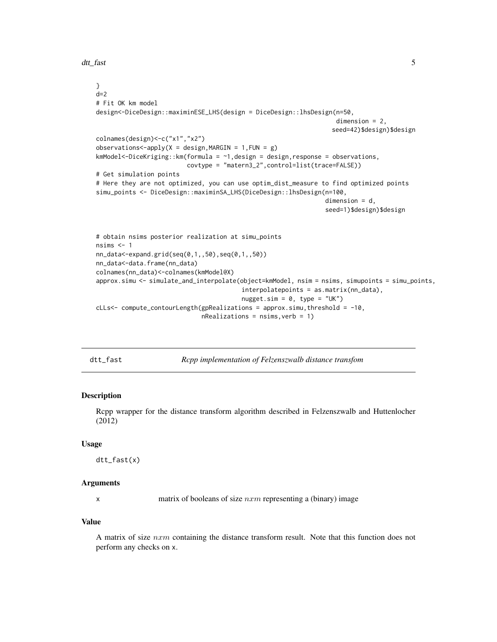<span id="page-4-0"></span>dtt\_fast 5

```
}
d=2# Fit OK km model
design<-DiceDesign::maximinESE_LHS(design = DiceDesign::lhsDesign(n=50,
                                                                  dimension = 2,
                                                                 seed=42)$design)$design
colnames(design)<-c("x1","x2")
observations<-apply(X = design, MARGIN = 1, FUN = g)
kmModel<-DiceKriging::km(formula = ~1,design = design,response = observations,
                         covtype = "matern3_2",control=list(trace=FALSE))
# Get simulation points
# Here they are not optimized, you can use optim_dist_measure to find optimized points
simu_points <- DiceDesign::maximinSA_LHS(DiceDesign::lhsDesign(n=100,
                                                               dimension = d,
                                                               seed=1)$design)$design
# obtain nsims posterior realization at simu_points
nsims <-1nn_data<-expand.grid(seq(0,1,,50),seq(0,1,,50))
nn_data<-data.frame(nn_data)
colnames(nn_data)<-colnames(kmModel@X)
approx.simu <- simulate_and_interpolate(object=kmModel, nsim = nsims, simupoints = simu_points,
                                        interpolatepoints = as.matrix(nn_data),
                                        nugget.sim = 0, type = "UK")cLLs<- compute_contourLength(gpRealizations = approx.simu,threshold = -10,
                             nRealizations = nsims, verb = 1)
```
<span id="page-4-1"></span>dtt\_fast *Rcpp implementation of Felzenszwalb distance transfom*

# **Description**

Rcpp wrapper for the distance transform algorithm described in Felzenszwalb and Huttenlocher (2012)

#### Usage

dtt\_fast(x)

#### Arguments

x matrix of booleans of size  $nxm$  representing a (binary) image

#### Value

A matrix of size  $nxm$  containing the distance transform result. Note that this function does not perform any checks on x.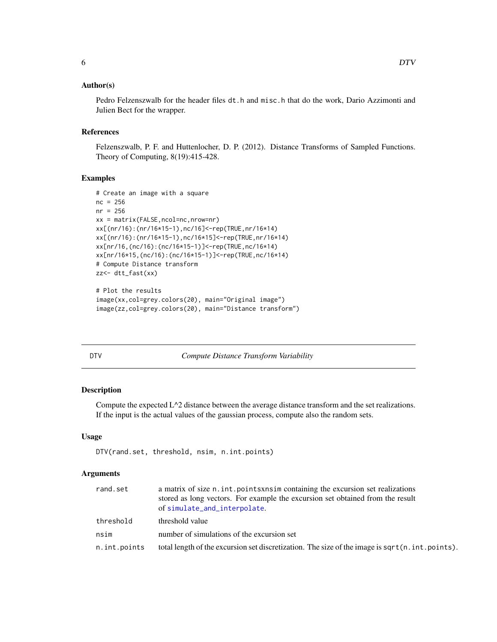### <span id="page-5-0"></span>Author(s)

Pedro Felzenszwalb for the header files dt.h and misc.h that do the work, Dario Azzimonti and Julien Bect for the wrapper.

# References

Felzenszwalb, P. F. and Huttenlocher, D. P. (2012). Distance Transforms of Sampled Functions. Theory of Computing, 8(19):415-428.

# Examples

```
# Create an image with a square
nc = 256nr = 256
xx = matrix(FALSE,ncol=nc,nrow=nr)
xx[(nr/16):(nr/16*15-1),nc/16]<-rep(TRUE,nr/16*14)
xx[(nr/16):(nr/16*15-1),nc/16*15]<-rep(TRUE,nr/16*14)
xx[nr/16,(nc/16):(nc/16*15-1)]<-rep(TRUE,nc/16*14)
xx[nr/16*15,(nc/16):(nc/16*15-1)]<-rep(TRUE,nc/16*14)
# Compute Distance transform
zz<- dtt_fast(xx)
# Plot the results
image(xx,col=grey.colors(20), main="Original image")
image(zz,col=grey.colors(20), main="Distance transform")
```
<span id="page-5-1"></span>

| ۰. | × |
|----|---|
|    |   |

**Compute Distance Transform Variability** 

#### Description

Compute the expected L^2 distance between the average distance transform and the set realizations. If the input is the actual values of the gaussian process, compute also the random sets.

# Usage

```
DTV(rand.set, threshold, nsim, n.int.points)
```

| rand.set     | a matrix of size n. int. points x nsim containing the excursion set realizations<br>stored as long vectors. For example the excursion set obtained from the result<br>of simulate_and_interpolate. |
|--------------|----------------------------------------------------------------------------------------------------------------------------------------------------------------------------------------------------|
| threshold    | threshold value                                                                                                                                                                                    |
| nsim         | number of simulations of the excursion set                                                                                                                                                         |
| n.int.points | total length of the excursion set discretization. The size of the image is sqrt $(n, int. points)$ .                                                                                               |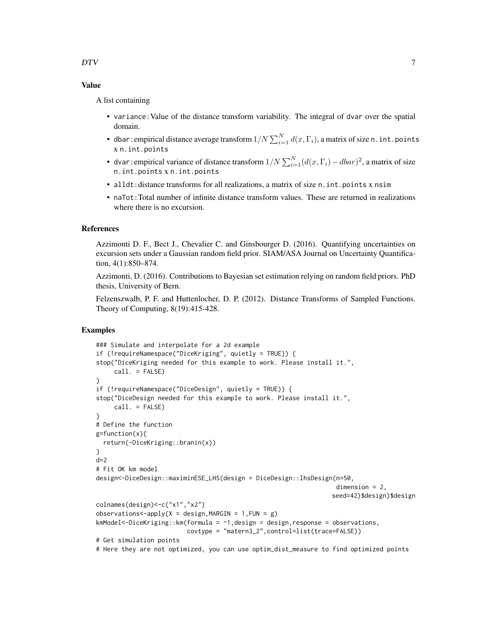A list containing

- variance:Value of the distance transform variability. The integral of dvar over the spatial domain.
- dbar : empirical distance average transform  $1/N\sum_{i=1}^N d(x,\Gamma_i)$ , a matrix of size n . int . point s x n.int.points
- dvar: empirical variance of distance transform  $1/N \sum_{i=1}^{N} (d(x, \Gamma_i) dbar)^2$ , a matrix of size n.int.points x n.int.points
- alldt:distance transforms for all realizations, a matrix of size n.int.points x nsim
- naTot: Total number of infinite distance transform values. These are returned in realizations where there is no excursion.

#### References

Azzimonti D. F., Bect J., Chevalier C. and Ginsbourger D. (2016). Quantifying uncertainties on excursion sets under a Gaussian random field prior. SIAM/ASA Journal on Uncertainty Quantification, 4(1):850–874.

Azzimonti, D. (2016). Contributions to Bayesian set estimation relying on random field priors. PhD thesis, University of Bern.

Felzenszwalb, P. F. and Huttenlocher, D. P. (2012). Distance Transforms of Sampled Functions. Theory of Computing, 8(19):415-428.

```
### Simulate and interpolate for a 2d example
if (!requireNamespace("DiceKriging", quietly = TRUE)) {
stop("DiceKriging needed for this example to work. Please install it.",
     call. = FALSE)}
if (!requireNamespace("DiceDesign", quietly = TRUE)) {
stop("DiceDesign needed for this example to work. Please install it.",
     call. = FALSE)}
# Define the function
g=function(x){
 return(-DiceKriging::branin(x))
}
d=2# Fit OK km model
design<-DiceDesign::maximinESE_LHS(design = DiceDesign::lhsDesign(n=50,
                                                                   dimension = 2,
                                                                  seed=42)$design)$design
colnames(design)<-c("x1","x2")
observations < -apply(X = design, MARGIN = 1, FUN = g)kmModel<-DiceKriging::km(formula = ~1,design = design,response = observations,
                         covtype = "matern3_2",control=list(trace=FALSE))
# Get simulation points
# Here they are not optimized, you can use optim_dist_measure to find optimized points
```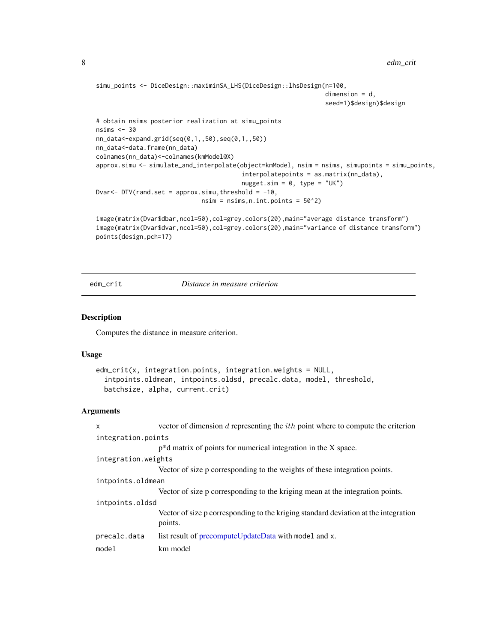```
simu_points <- DiceDesign::maximinSA_LHS(DiceDesign::lhsDesign(n=100,
                                                                 dimension = d,
                                                                 seed=1)$design)$design
# obtain nsims posterior realization at simu_points
nsims <- 30
nn_data<-expand.grid(seq(0,1,,50),seq(0,1,,50))
nn_data<-data.frame(nn_data)
colnames(nn_data)<-colnames(kmModel@X)
approx.simu <- simulate_and_interpolate(object=kmModel, nsim = nsims, simupoints = simu_points,
                                         interpolatepoints = as.matrix(nn_data),
                                         nugget.sim = 0, type = "UK")
Dvar <- DTV(rand.set = approx.simu, threshold = -10,
                              nsim = nsims, n.int.points = <math>50^2</math>)
```

```
image(matrix(Dvar$dbar,ncol=50),col=grey.colors(20),main="average distance transform")
image(matrix(Dvar$dvar,ncol=50),col=grey.colors(20),main="variance of distance transform")
points(design,pch=17)
```
edm\_crit *Distance in measure criterion*

# Description

Computes the distance in measure criterion.

#### Usage

```
edm_crit(x, integration.points, integration.weights = NULL,
  intpoints.oldmean, intpoints.oldsd, precalc.data, model, threshold,
 batchsize, alpha, current.crit)
```

| X                   | vector of dimension $d$ representing the $ith$ point where to compute the criterion            |  |
|---------------------|------------------------------------------------------------------------------------------------|--|
| integration.points  |                                                                                                |  |
|                     | $p^*d$ matrix of points for numerical integration in the X space.                              |  |
| integration.weights |                                                                                                |  |
|                     | Vector of size p corresponding to the weights of these integration points.                     |  |
| intpoints.oldmean   |                                                                                                |  |
|                     | Vector of size p corresponding to the kriging mean at the integration points.                  |  |
| intpoints.oldsd     |                                                                                                |  |
|                     | Vector of size p corresponding to the kriging standard deviation at the integration<br>points. |  |
| precalc.data        | list result of precomputeUpdateData with model and x.                                          |  |
| model               | km model                                                                                       |  |

<span id="page-7-0"></span>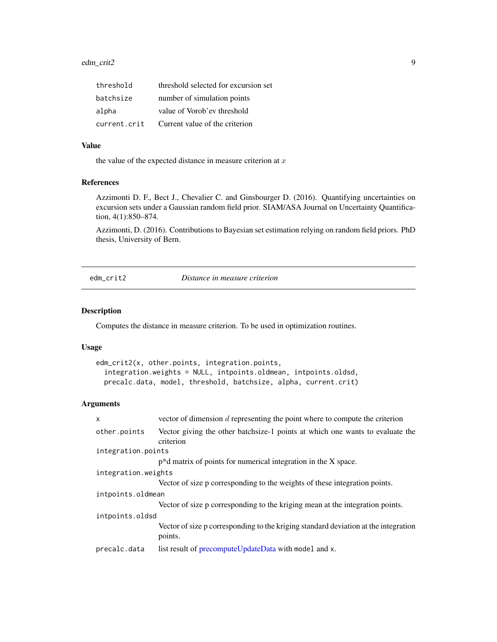# <span id="page-8-0"></span>edm\_crit2 9

| threshold    | threshold selected for excursion set |
|--------------|--------------------------------------|
| batchsize    | number of simulation points          |
| alpha        | value of Vorob'ev threshold          |
| current.crit | Current value of the criterion       |

#### Value

the value of the expected distance in measure criterion at  $x$ 

# References

Azzimonti D. F., Bect J., Chevalier C. and Ginsbourger D. (2016). Quantifying uncertainties on excursion sets under a Gaussian random field prior. SIAM/ASA Journal on Uncertainty Quantification, 4(1):850–874.

Azzimonti, D. (2016). Contributions to Bayesian set estimation relying on random field priors. PhD thesis, University of Bern.

edm\_crit2 *Distance in measure criterion*

# Description

Computes the distance in measure criterion. To be used in optimization routines.

# Usage

```
edm_crit2(x, other.points, integration.points,
 integration.weights = NULL, intpoints.oldmean, intpoints.oldsd,
 precalc.data, model, threshold, batchsize, alpha, current.crit)
```

| $\mathsf{x}$        | vector of dimension $d$ representing the point where to compute the criterion                  |  |
|---------------------|------------------------------------------------------------------------------------------------|--|
| other.points        | Vector giving the other batchsize-1 points at which one wants to evaluate the<br>criterion     |  |
| integration.points  |                                                                                                |  |
|                     | $p^*d$ matrix of points for numerical integration in the X space.                              |  |
| integration.weights |                                                                                                |  |
|                     | Vector of size p corresponding to the weights of these integration points.                     |  |
| intpoints.oldmean   |                                                                                                |  |
|                     | Vector of size p corresponding to the kriging mean at the integration points.                  |  |
| intpoints.oldsd     |                                                                                                |  |
|                     | Vector of size p corresponding to the kriging standard deviation at the integration<br>points. |  |
| precalc.data        | list result of precomputeUpdateData with mode1 and x.                                          |  |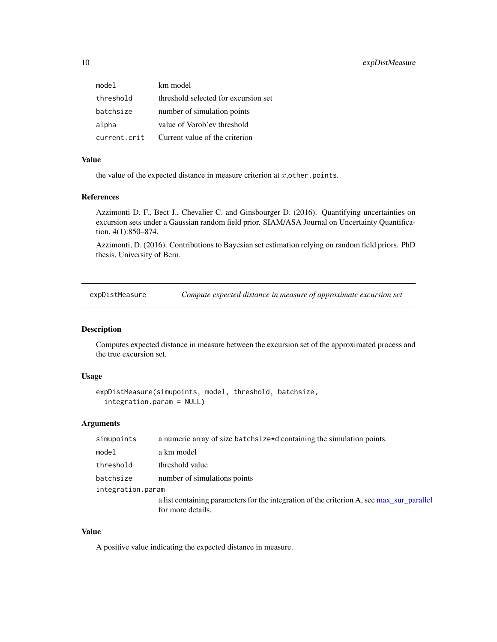<span id="page-9-0"></span>

| model        | km model                             |
|--------------|--------------------------------------|
| threshold    | threshold selected for excursion set |
| batchsize    | number of simulation points          |
| alpha        | value of Vorob'ev threshold          |
| current.crit | Current value of the criterion       |

the value of the expected distance in measure criterion at  $x$ , other.points.

#### References

Azzimonti D. F., Bect J., Chevalier C. and Ginsbourger D. (2016). Quantifying uncertainties on excursion sets under a Gaussian random field prior. SIAM/ASA Journal on Uncertainty Quantification, 4(1):850–874.

Azzimonti, D. (2016). Contributions to Bayesian set estimation relying on random field priors. PhD thesis, University of Bern.

<span id="page-9-1"></span>expDistMeasure *Compute expected distance in measure of approximate excursion set*

# Description

Computes expected distance in measure between the excursion set of the approximated process and the true excursion set.

#### Usage

```
expDistMeasure(simupoints, model, threshold, batchsize,
  integration.param = NULL)
```
# Arguments

| simupoints        | a numeric array of size batchsize*d containing the simulation points.                    |
|-------------------|------------------------------------------------------------------------------------------|
| model             | a km model                                                                               |
| threshold         | threshold value                                                                          |
| batchsize         | number of simulations points                                                             |
| integration.param |                                                                                          |
|                   | a list containing parameters for the integration of the criterion A, see max surparallel |
|                   | for more details.                                                                        |

# Value

A positive value indicating the expected distance in measure.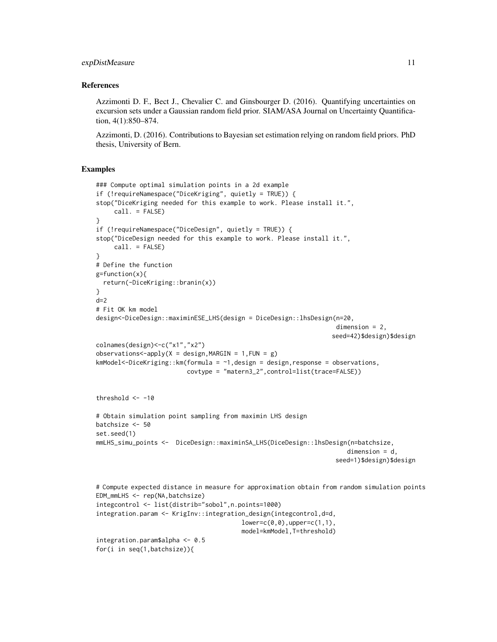# expDistMeasure 11

### References

Azzimonti D. F., Bect J., Chevalier C. and Ginsbourger D. (2016). Quantifying uncertainties on excursion sets under a Gaussian random field prior. SIAM/ASA Journal on Uncertainty Quantification, 4(1):850–874.

Azzimonti, D. (2016). Contributions to Bayesian set estimation relying on random field priors. PhD thesis, University of Bern.

```
### Compute optimal simulation points in a 2d example
if (!requireNamespace("DiceKriging", quietly = TRUE)) {
stop("DiceKriging needed for this example to work. Please install it.",
     call. = FALSE)
}
if (!requireNamespace("DiceDesign", quietly = TRUE)) {
stop("DiceDesign needed for this example to work. Please install it.",
     call. = FALSE)
}
# Define the function
g=function(x){
 return(-DiceKriging::branin(x))
}
d=2# Fit OK km model
design<-DiceDesign::maximinESE_LHS(design = DiceDesign::lhsDesign(n=20,
                                                                   dimension = 2,
                                                                 seed=42)$design)$design
colnames(design)<-c("x1","x2")
observations<-apply(X = design, MARGIN = 1, FUN = g)
kmModel<-DiceKriging::km(formula = ~1,design = design,response = observations,
                         covtype = "matern3_2",control=list(trace=FALSE))
threshold <-10# Obtain simulation point sampling from maximin LHS design
batchsize <- 50
set.seed(1)
mmLHS_simu_points <- DiceDesign::maximinSA_LHS(DiceDesign::lhsDesign(n=batchsize,
                                                                      dimension = d,
                                                                  seed=1)$design)$design
# Compute expected distance in measure for approximation obtain from random simulation points
EDM_mmLHS <- rep(NA,batchsize)
integcontrol <- list(distrib="sobol",n.points=1000)
integration.param <- KrigInv::integration_design(integcontrol,d=d,
                                        lower=c(0,0), upper=c(1,1),model=kmModel,T=threshold)
integration.param$alpha <- 0.5
for(i in seq(1,batchsize)){
```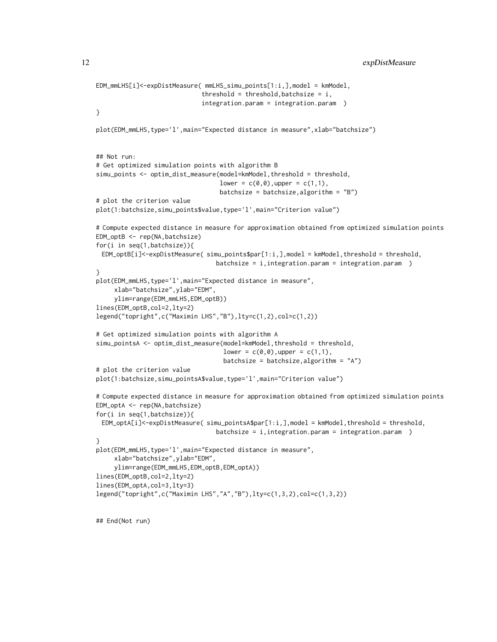```
EDM_mmLHS[i]<-expDistMeasure( mmLHS_simu_points[1:i,],model = kmModel,
                             threshold = threshold, batchsize = i,
                             integration.param = integration.param )
}
plot(EDM_mmLHS,type='l',main="Expected distance in measure",xlab="batchsize")
## Not run:
# Get optimized simulation points with algorithm B
simu_points <- optim_dist_measure(model=kmModel,threshold = threshold,
                                  lower = c(0,0), upper = c(1,1),batchsize = batchsize,algorithm = "B")
# plot the criterion value
plot(1:batchsize,simu_points$value,type='l',main="Criterion value")
# Compute expected distance in measure for approximation obtained from optimized simulation points
EDM_optB <- rep(NA,batchsize)
for(i in seq(1,batchsize)){
 EDM_optB[i]<-expDistMeasure( simu_points$par[1:i,],model = kmModel,threshold = threshold,
                                 batchsize = i,integration.param = integration.param )
}
plot(EDM_mmLHS,type='l',main="Expected distance in measure",
     xlab="batchsize",ylab="EDM",
     ylim=range(EDM_mmLHS,EDM_optB))
lines(EDM_optB,col=2,lty=2)
legend("topright",c("Maximin LHS","B"),lty=c(1,2),col=c(1,2))
# Get optimized simulation points with algorithm A
simu_pointsA <- optim_dist_measure(model=kmModel,threshold = threshold,
                                   lower = c(0,0), upper = c(1,1),batchsize = batchsize, algorithm = "A")
# plot the criterion value
plot(1:batchsize,simu_pointsA$value,type='l',main="Criterion value")
# Compute expected distance in measure for approximation obtained from optimized simulation points
EDM_optA <- rep(NA,batchsize)
for(i in seq(1,batchsize)){
 EDM_optA[i]<-expDistMeasure( simu_pointsA$par[1:i,],model = kmModel,threshold = threshold,
                                 batchsize = i,integration.param = integration.param )
}
plot(EDM_mmLHS,type='l',main="Expected distance in measure",
     xlab="batchsize",ylab="EDM",
     ylim=range(EDM_mmLHS,EDM_optB,EDM_optA))
lines(EDM_optB,col=2,lty=2)
lines(EDM_optA,col=3,lty=3)
legend("topright",c("Maximin LHS","A","B"),lty=c(1,3,2),col=c(1,3,2))
```
## End(Not run)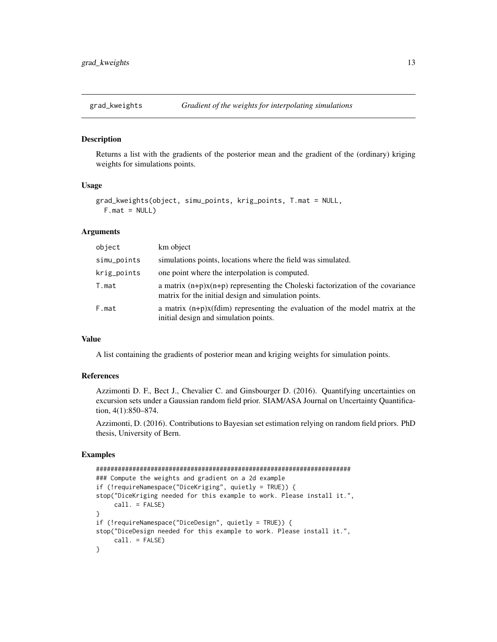<span id="page-12-1"></span><span id="page-12-0"></span>

#### Description

Returns a list with the gradients of the posterior mean and the gradient of the (ordinary) kriging weights for simulations points.

#### Usage

```
grad_kweights(object, simu_points, krig_points, T.mat = NULL,
 F.mat = NULL
```
# Arguments

| object      | km object                                                                                                                                |
|-------------|------------------------------------------------------------------------------------------------------------------------------------------|
| simu_points | simulations points, locations where the field was simulated.                                                                             |
| krig_points | one point where the interpolation is computed.                                                                                           |
| T.mat       | a matrix $(n+p)x(n+p)$ representing the Choleski factorization of the covariance<br>matrix for the initial design and simulation points. |
| F.mat       | a matrix $(n+p)x$ (fdim) representing the evaluation of the model matrix at the<br>initial design and simulation points.                 |

# Value

A list containing the gradients of posterior mean and kriging weights for simulation points.

#### References

Azzimonti D. F., Bect J., Chevalier C. and Ginsbourger D. (2016). Quantifying uncertainties on excursion sets under a Gaussian random field prior. SIAM/ASA Journal on Uncertainty Quantification, 4(1):850–874.

Azzimonti, D. (2016). Contributions to Bayesian set estimation relying on random field priors. PhD thesis, University of Bern.

```
######################################################################
### Compute the weights and gradient on a 2d example
if (!requireNamespace("DiceKriging", quietly = TRUE)) {
stop("DiceKriging needed for this example to work. Please install it.",
    call. = FALSE)}
if (!requireNamespace("DiceDesign", quietly = TRUE)) {
stop("DiceDesign needed for this example to work. Please install it.",
    call. = FALSE)
}
```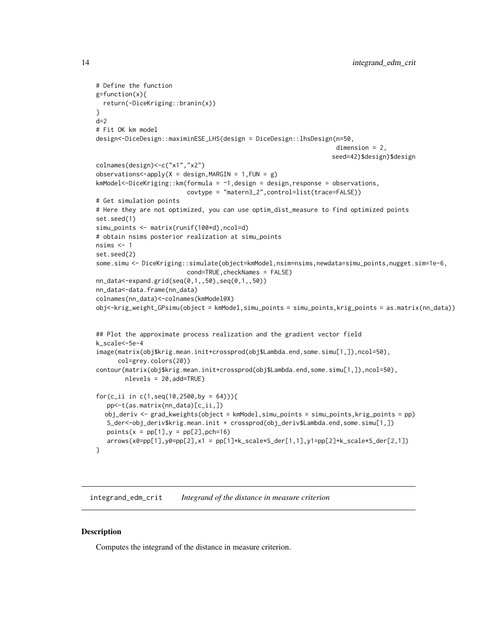```
# Define the function
g=function(x){
 return(-DiceKriging::branin(x))
}
d=2# Fit OK km model
design<-DiceDesign::maximinESE_LHS(design = DiceDesign::lhsDesign(n=50,
                                                                   dimension = 2,
                                                                  seed=42)$design)$design
colnames(design)<-c("x1","x2")
observations < -apply(X = design, MARGIN = 1, FUN = g)kmModel<-DiceKriging::km(formula = ~1,design = design,response = observations,
                         covtype = "matern3_2",control=list(trace=FALSE))
# Get simulation points
# Here they are not optimized, you can use optim_dist_measure to find optimized points
set.seed(1)
simu_points <- matrix(runif(100*d),ncol=d)
# obtain nsims posterior realization at simu_points
nsims <-1set.seed(2)
some.simu <- DiceKriging::simulate(object=kmModel,nsim=nsims,newdata=simu_points,nugget.sim=1e-6,
                         cond=TRUE, checkNames = FALSE)
nn_data<-expand.grid(seq(0,1,,50),seq(0,1,,50))
nn_data<-data.frame(nn_data)
colnames(nn_data)<-colnames(kmModel@X)
obj<-krig_weight_GPsimu(object = kmModel,simu_points = simu_points,krig_points = as.matrix(nn_data))
## Plot the approximate process realization and the gradient vector field
k_scale<-5e-4
image(matrix(obj$krig.mean.init+crossprod(obj$Lambda.end,some.simu[1,]),ncol=50),
      col=grey.colors(20))
contour(matrix(obj$krig.mean.init+crossprod(obj$Lambda.end,some.simu[1,]),ncol=50),
        nlevels = 20,add=TRUE)
for(c_ii in c(1, seq(10, 2500, by = 64))}
  pp<-t(as.matrix(nn_data)[c_ii,])
  obj_deriv <- grad_kweights(object = kmModel,simu_points = simu_points,krig_points = pp)
  S_der<-obj_deriv$krig.mean.init + crossprod(obj_deriv$Lambda.end,some.simu[1,])
  points(x = pp[1], y = pp[2], pch=16)arrows(x0=pp[1],y0=pp[2],x1 = pp[1]+k_scale*S_der[1,1],y1=pp[2]+k_scale*S_der[2,1])}
```
integrand\_edm\_crit *Integrand of the distance in measure criterion*

#### Description

Computes the integrand of the distance in measure criterion.

<span id="page-13-0"></span>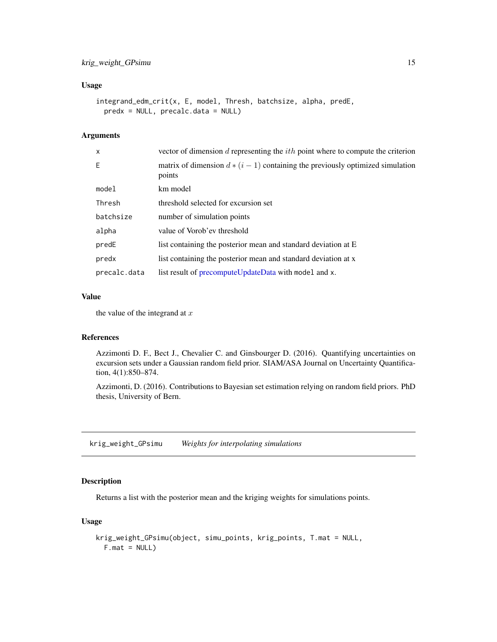# <span id="page-14-0"></span>Usage

```
integrand_edm_crit(x, E, model, Thresh, batchsize, alpha, predE,
 predx = NULL, precalc.data = NULL)
```
# Arguments

| X            | vector of dimension d representing the $ith$ point where to compute the criterion          |
|--------------|--------------------------------------------------------------------------------------------|
| E.           | matrix of dimension $d * (i - 1)$ containing the previously optimized simulation<br>points |
| model        | km model                                                                                   |
| Thresh       | threshold selected for excursion set                                                       |
| batchsize    | number of simulation points                                                                |
| alpha        | value of Vorob'ev threshold                                                                |
| predE        | list containing the posterior mean and standard deviation at E                             |
| predx        | list containing the posterior mean and standard deviation at x                             |
| precalc.data | list result of precomputeUpdateData with model and x.                                      |

# Value

the value of the integrand at  $x$ 

# References

Azzimonti D. F., Bect J., Chevalier C. and Ginsbourger D. (2016). Quantifying uncertainties on excursion sets under a Gaussian random field prior. SIAM/ASA Journal on Uncertainty Quantification, 4(1):850–874.

Azzimonti, D. (2016). Contributions to Bayesian set estimation relying on random field priors. PhD thesis, University of Bern.

<span id="page-14-1"></span>krig\_weight\_GPsimu *Weights for interpolating simulations*

# Description

Returns a list with the posterior mean and the kriging weights for simulations points.

# Usage

```
krig_weight_GPsimu(object, simu_points, krig_points, T.mat = NULL,
 F.mat = NULL)
```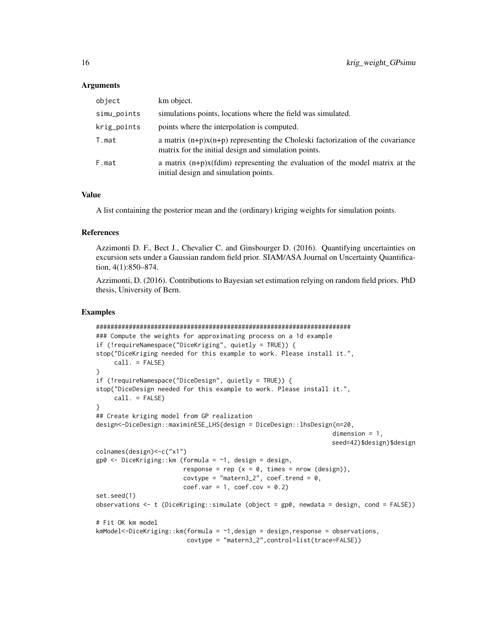### Arguments

| object      | km object.                                                                                                                               |
|-------------|------------------------------------------------------------------------------------------------------------------------------------------|
| simu_points | simulations points, locations where the field was simulated.                                                                             |
| krig_points | points where the interpolation is computed.                                                                                              |
| T.mat       | a matrix $(n+p)x(n+p)$ representing the Choleski factorization of the covariance<br>matrix for the initial design and simulation points. |
| F.mat       | a matrix $(n+p)x$ (fdim) representing the evaluation of the model matrix at the<br>initial design and simulation points.                 |

# Value

A list containing the posterior mean and the (ordinary) kriging weights for simulation points.

# References

Azzimonti D. F., Bect J., Chevalier C. and Ginsbourger D. (2016). Quantifying uncertainties on excursion sets under a Gaussian random field prior. SIAM/ASA Journal on Uncertainty Quantification, 4(1):850–874.

Azzimonti, D. (2016). Contributions to Bayesian set estimation relying on random field priors. PhD thesis, University of Bern.

```
######################################################################
### Compute the weights for approximating process on a 1d example
if (!requireNamespace("DiceKriging", quietly = TRUE)) {
stop("DiceKriging needed for this example to work. Please install it.",
     call. = FALSE)}
if (!requireNamespace("DiceDesign", quietly = TRUE)) {
stop("DiceDesign needed for this example to work. Please install it.",
     call. = FALSE)}
## Create kriging model from GP realization
design<-DiceDesign::maximinESE_LHS(design = DiceDesign::lhsDesign(n=20,
                                                                   dimension = 1,
                                                                  seed=42)$design)$design
colnames(design)<-c("x1")
gp0 <- DiceKriging::km (formula = ~1, design = design,
                        response = rep (x = 0, \text{ times} = \text{now } (\text{design})),covtype = "matern3_2", coef.trend = 0,
                        coef.var = 1, coef.cov = 0.2)
set.seed(1)
observations <- t (DiceKriging::simulate (object = gp0, newdata = design, cond = FALSE))
# Fit OK km model
kmModel<-DiceKriging::km(formula = ~1,design = design,response = observations,
                         covtype = "matern3_2",control=list(trace=FALSE))
```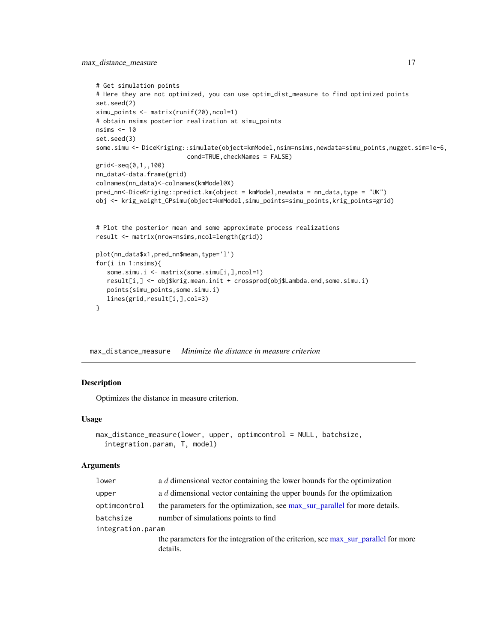```
# Get simulation points
# Here they are not optimized, you can use optim_dist_measure to find optimized points
set.seed(2)
simu_points <- matrix(runif(20),ncol=1)
# obtain nsims posterior realization at simu_points
nsims <- 10
set.seed(3)
some.simu <- DiceKriging::simulate(object=kmModel,nsim=nsims,newdata=simu_points,nugget.sim=1e-6,
                         cond=TRUE, checkNames = FALSE)
grid<-seq(0,1,,100)
nn_data<-data.frame(grid)
colnames(nn_data)<-colnames(kmModel@X)
pred_nn<-DiceKriging::predict.km(object = kmModel,newdata = nn_data,type = "UK")
obj <- krig_weight_GPsimu(object=kmModel,simu_points=simu_points,krig_points=grid)
# Plot the posterior mean and some approximate process realizations
result <- matrix(nrow=nsims,ncol=length(grid))
plot(nn_data$x1,pred_nn$mean,type='l')
for(i in 1:nsims){
   some.simu.i <- matrix(some.simu[i,],ncol=1)
   result[i,] <- obj$krig.mean.init + crossprod(obj$Lambda.end,some.simu.i)
   points(simu_points,some.simu.i)
   lines(grid,result[i,],col=3)
}
```
max\_distance\_measure *Minimize the distance in measure criterion*

# Description

Optimizes the distance in measure criterion.

#### Usage

```
max_distance_measure(lower, upper, optimcontrol = NULL, batchsize,
  integration.param, T, model)
```

| lower             | a $d$ dimensional vector containing the lower bounds for the optimization                      |
|-------------------|------------------------------------------------------------------------------------------------|
| upper             | a $d$ dimensional vector containing the upper bounds for the optimization                      |
| optimcontrol      | the parameters for the optimization, see max_sur_parallel for more details.                    |
| batchsize         | number of simulations points to find                                                           |
| integration.param |                                                                                                |
|                   | the parameters for the integration of the criterion, see max_sur_parallel for more<br>details. |
|                   |                                                                                                |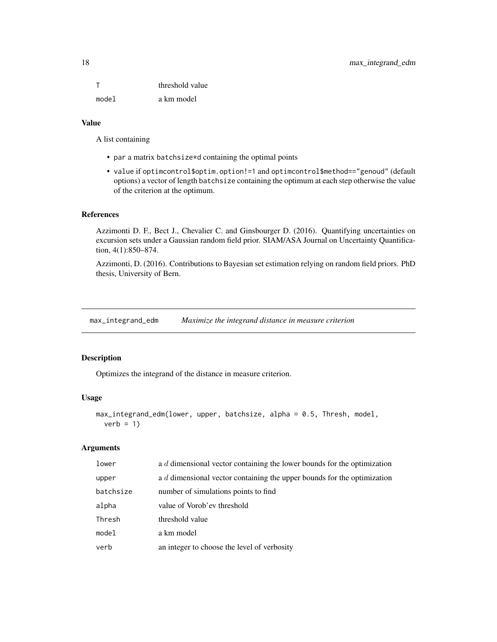<span id="page-17-0"></span>T threshold value model a km model

# Value

A list containing

- par a matrix batchsize\*d containing the optimal points
- value if optimcontrol\$optim.option!=1 and optimcontrol\$method=="genoud" (default options) a vector of length batchsize containing the optimum at each step otherwise the value of the criterion at the optimum.

# References

Azzimonti D. F., Bect J., Chevalier C. and Ginsbourger D. (2016). Quantifying uncertainties on excursion sets under a Gaussian random field prior. SIAM/ASA Journal on Uncertainty Quantification, 4(1):850–874.

Azzimonti, D. (2016). Contributions to Bayesian set estimation relying on random field priors. PhD thesis, University of Bern.

max\_integrand\_edm *Maximize the integrand distance in measure criterion*

# Description

Optimizes the integrand of the distance in measure criterion.

#### Usage

```
max_integrand_edm(lower, upper, batchsize, alpha = 0.5, Thresh, model,
  verb = 1)
```

| lower     | a d dimensional vector containing the lower bounds for the optimization |
|-----------|-------------------------------------------------------------------------|
| upper     | a d dimensional vector containing the upper bounds for the optimization |
| batchsize | number of simulations points to find                                    |
| alpha     | value of Vorob'ev threshold                                             |
| Thresh    | threshold value                                                         |
| model     | a km model                                                              |
| verb      | an integer to choose the level of verbosity                             |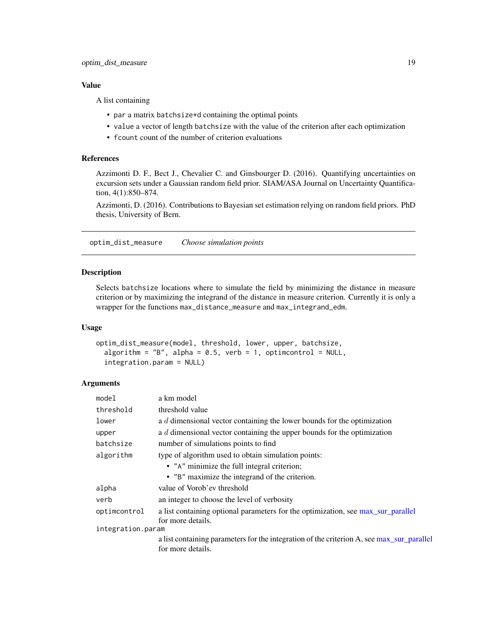<span id="page-18-0"></span>A list containing

- par a matrix batchsize\*d containing the optimal points
- value a vector of length batchsize with the value of the criterion after each optimization
- fcount count of the number of criterion evaluations

# References

Azzimonti D. F., Bect J., Chevalier C. and Ginsbourger D. (2016). Quantifying uncertainties on excursion sets under a Gaussian random field prior. SIAM/ASA Journal on Uncertainty Quantification, 4(1):850–874.

Azzimonti, D. (2016). Contributions to Bayesian set estimation relying on random field priors. PhD thesis, University of Bern.

<span id="page-18-1"></span>optim\_dist\_measure *Choose simulation points*

# Description

Selects batchsize locations where to simulate the field by minimizing the distance in measure criterion or by maximizing the integrand of the distance in measure criterion. Currently it is only a wrapper for the functions max\_distance\_measure and max\_integrand\_edm.

#### Usage

```
optim_dist_measure(model, threshold, lower, upper, batchsize,
  algorithm = "B", alpha = 0.5, verb = 1, optimcontrol = NULL,
  integration.param = NULL)
```

| model             | a km model                                                                                                     |  |
|-------------------|----------------------------------------------------------------------------------------------------------------|--|
| threshold         | threshold value                                                                                                |  |
| lower             | a d dimensional vector containing the lower bounds for the optimization                                        |  |
| upper             | a d dimensional vector containing the upper bounds for the optimization                                        |  |
| batchsize         | number of simulations points to find                                                                           |  |
| algorithm         | type of algorithm used to obtain simulation points:                                                            |  |
|                   | • "A" minimize the full integral criterion;                                                                    |  |
|                   | • "B" maximize the integrand of the criterion.                                                                 |  |
| alpha             | value of Vorob'ev threshold                                                                                    |  |
| verb              | an integer to choose the level of verbosity                                                                    |  |
| optimcontrol      | a list containing optional parameters for the optimization, see max_sur_parallel                               |  |
|                   | for more details.                                                                                              |  |
| integration.param |                                                                                                                |  |
|                   | a list containing parameters for the integration of the criterion A, see max_sur_parallel<br>for more details. |  |
|                   |                                                                                                                |  |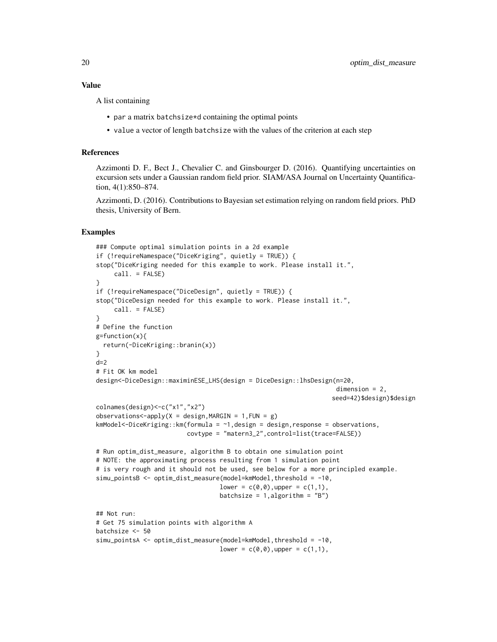A list containing

- par a matrix batchsize\*d containing the optimal points
- value a vector of length batchsize with the values of the criterion at each step

### References

Azzimonti D. F., Bect J., Chevalier C. and Ginsbourger D. (2016). Quantifying uncertainties on excursion sets under a Gaussian random field prior. SIAM/ASA Journal on Uncertainty Quantification, 4(1):850–874.

Azzimonti, D. (2016). Contributions to Bayesian set estimation relying on random field priors. PhD thesis, University of Bern.

```
### Compute optimal simulation points in a 2d example
if (!requireNamespace("DiceKriging", quietly = TRUE)) {
stop("DiceKriging needed for this example to work. Please install it.",
     call. = FALSE)
}
if (!requireNamespace("DiceDesign", quietly = TRUE)) {
stop("DiceDesign needed for this example to work. Please install it.",
     call. = FALSE)
}
# Define the function
g=function(x){
  return(-DiceKriging::branin(x))
}
d=2# Fit OK km model
design<-DiceDesign::maximinESE_LHS(design = DiceDesign::lhsDesign(n=20,
                                                                   dimension = 2,
                                                                  seed=42)$design)$design
colnames(design)<-c("x1","x2")
observations < -apply(X = design, MARGIN = 1, FUN = g)kmModel<-DiceKriging::km(formula = \sim1, design = design, response = observations,
                         covtype = "matern3_2",control=list(trace=FALSE))
# Run optim_dist_measure, algorithm B to obtain one simulation point
# NOTE: the approximating process resulting from 1 simulation point
# is very rough and it should not be used, see below for a more principled example.
simu_pointsB <- optim_dist_measure(model=kmModel,threshold = -10,
                                  lower = c(0,0), upper = c(1,1),batchsize = 1, algorithm = "B")
## Not run:
# Get 75 simulation points with algorithm A
batchsize <- 50
simu_pointsA <- optim_dist_measure(model=kmModel,threshold = -10,
                                  lower = c(0,0), upper = c(1,1),
```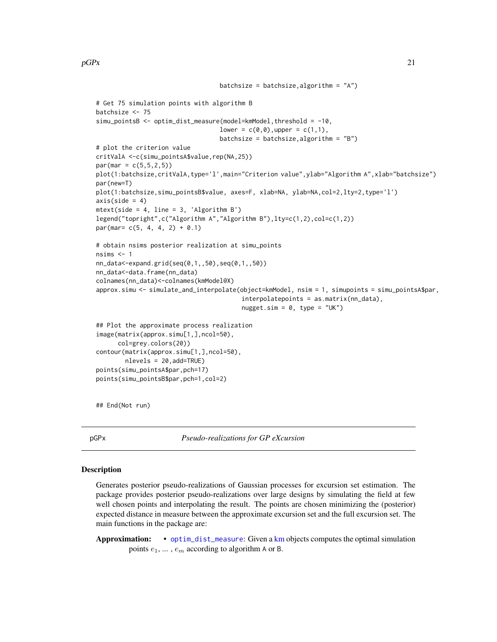```
batchsize = batchsize, algorithm = "A")
# Get 75 simulation points with algorithm B
batchsize <- 75
simu_pointsB <- optim_dist_measure(model=kmModel,threshold = -10,
                                  lower = c(0,0), upper = c(1,1),batchsize = batchsize, algorithm = "B")
# plot the criterion value
critValA <-c(simu_pointsA$value,rep(NA,25))
par(max = c(5, 5, 2, 5))plot(1:batchsize,critValA,type='l',main="Criterion value",ylab="Algorithm A",xlab="batchsize")
par(new=T)
plot(1:batchsize,simu_pointsB$value, axes=F, xlab=NA, ylab=NA,col=2,lty=2,type='l')
axis(side = 4)mtext(side = 4, line = 3, 'Algorithm B')
legend("topright",c("Algorithm A","Algorithm B"),lty=c(1,2),col=c(1,2))
par(max = c(5, 4, 4, 2) + 0.1)# obtain nsims posterior realization at simu_points
nsims <-1nn_data<-expand.grid(seq(0,1,,50),seq(0,1,,50))
nn_data<-data.frame(nn_data)
colnames(nn_data)<-colnames(kmModel@X)
approx.simu <- simulate_and_interpolate(object=kmModel, nsim = 1, simupoints = simu_pointsA$par,
                                        interpolatepoints = as.matrix(nn_data),
                                        nugget.sim = 0, type = "UK")
## Plot the approximate process realization
image(matrix(approx.simu[1,],ncol=50),
     col=grey.colors(20))
contour(matrix(approx.simu[1,],ncol=50),
        nlevels = 20,add=TRUE)
points(simu_pointsA$par,pch=17)
points(simu_pointsB$par,pch=1,col=2)
```
## End(Not run)

pGPx *Pseudo-realizations for GP eXcursion*

#### **Description**

Generates posterior pseudo-realizations of Gaussian processes for excursion set estimation. The package provides posterior pseudo-realizations over large designs by simulating the field at few well chosen points and interpolating the result. The points are chosen minimizing the (posterior) expected distance in measure between the approximate excursion set and the full excursion set. The main functions in the package are:

Approximation: • [optim\\_dist\\_measure](#page-18-1): Given a [km](#page-0-0) objects computes the optimal simulation points  $e_1, \ldots, e_m$  according to algorithm A or B.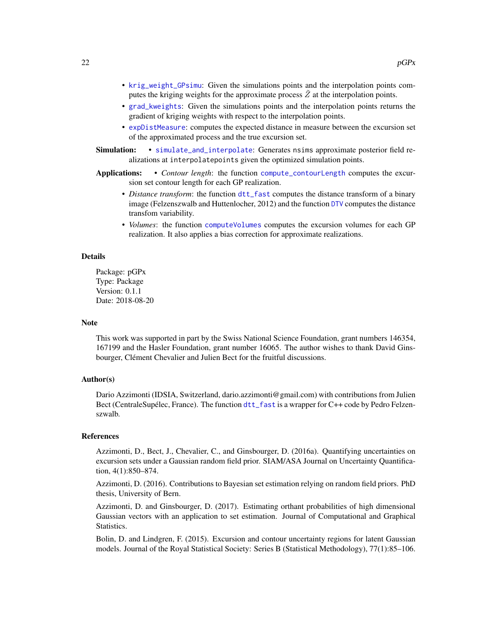- <span id="page-21-0"></span>• [krig\\_weight\\_GPsimu](#page-14-1): Given the simulations points and the interpolation points computes the kriging weights for the approximate process  $\tilde{Z}$  at the interpolation points.
- [grad\\_kweights](#page-12-1): Given the simulations points and the interpolation points returns the gradient of kriging weights with respect to the interpolation points.
- [expDistMeasure](#page-9-1): computes the expected distance in measure between the excursion set of the approximated process and the true excursion set.
- Simulation: [simulate\\_and\\_interpolate](#page-22-1): Generates nsims approximate posterior field realizations at interpolatepoints given the optimized simulation points.
- Applications: *Contour length*: the function [compute\\_contourLength](#page-3-1) computes the excursion set contour length for each GP realization.
	- *Distance transform*: the function [dtt\\_fast](#page-4-1) computes the distance transform of a binary image (Felzenszwalb and Huttenlocher, 2012) and the function [DTV](#page-5-1) computes the distance transfom variability.
	- *Volumes*: the function [computeVolumes](#page-1-1) computes the excursion volumes for each GP realization. It also applies a bias correction for approximate realizations.

#### Details

Package: pGPx Type: Package Version: 0.1.1 Date: 2018-08-20

#### **Note**

This work was supported in part by the Swiss National Science Foundation, grant numbers 146354, 167199 and the Hasler Foundation, grant number 16065. The author wishes to thank David Ginsbourger, Clément Chevalier and Julien Bect for the fruitful discussions.

# Author(s)

Dario Azzimonti (IDSIA, Switzerland, dario.azzimonti@gmail.com) with contributions from Julien Bect (CentraleSupélec, France). The function [dtt\\_fast](#page-4-1) is a wrapper for C++ code by Pedro Felzenszwalb.

#### References

Azzimonti, D., Bect, J., Chevalier, C., and Ginsbourger, D. (2016a). Quantifying uncertainties on excursion sets under a Gaussian random field prior. SIAM/ASA Journal on Uncertainty Quantification, 4(1):850–874.

Azzimonti, D. (2016). Contributions to Bayesian set estimation relying on random field priors. PhD thesis, University of Bern.

Azzimonti, D. and Ginsbourger, D. (2017). Estimating orthant probabilities of high dimensional Gaussian vectors with an application to set estimation. Journal of Computational and Graphical Statistics.

Bolin, D. and Lindgren, F. (2015). Excursion and contour uncertainty regions for latent Gaussian models. Journal of the Royal Statistical Society: Series B (Statistical Methodology), 77(1):85–106.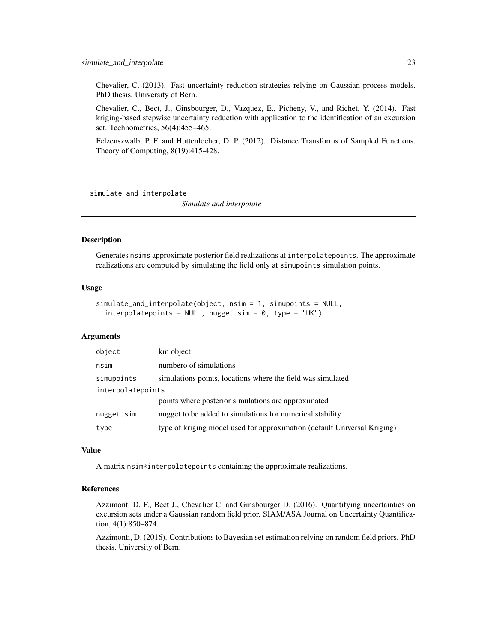<span id="page-22-0"></span>Chevalier, C. (2013). Fast uncertainty reduction strategies relying on Gaussian process models. PhD thesis, University of Bern.

Chevalier, C., Bect, J., Ginsbourger, D., Vazquez, E., Picheny, V., and Richet, Y. (2014). Fast kriging-based stepwise uncertainty reduction with application to the identification of an excursion set. Technometrics, 56(4):455–465.

Felzenszwalb, P. F. and Huttenlocher, D. P. (2012). Distance Transforms of Sampled Functions. Theory of Computing, 8(19):415-428.

<span id="page-22-1"></span>simulate\_and\_interpolate

*Simulate and interpolate*

#### **Description**

Generates nsims approximate posterior field realizations at interpolatepoints. The approximate realizations are computed by simulating the field only at simupoints simulation points.

#### Usage

```
simulate_and_interpolate(object, nsim = 1, simupoints = NULL,
  interpolatepoints = NULL, nugget.sim = 0, type = "UK")
```
# Arguments

| object            | km object                                                                |  |
|-------------------|--------------------------------------------------------------------------|--|
| nsim              | numbero of simulations                                                   |  |
| simupoints        | simulations points, locations where the field was simulated              |  |
| interpolatepoints |                                                                          |  |
|                   | points where posterior simulations are approximated                      |  |
| nugget.sim        | nugget to be added to simulations for numerical stability                |  |
| type              | type of kriging model used for approximation (default Universal Kriging) |  |

# Value

A matrix nsim\*interpolatepoints containing the approximate realizations.

# References

Azzimonti D. F., Bect J., Chevalier C. and Ginsbourger D. (2016). Quantifying uncertainties on excursion sets under a Gaussian random field prior. SIAM/ASA Journal on Uncertainty Quantification, 4(1):850–874.

Azzimonti, D. (2016). Contributions to Bayesian set estimation relying on random field priors. PhD thesis, University of Bern.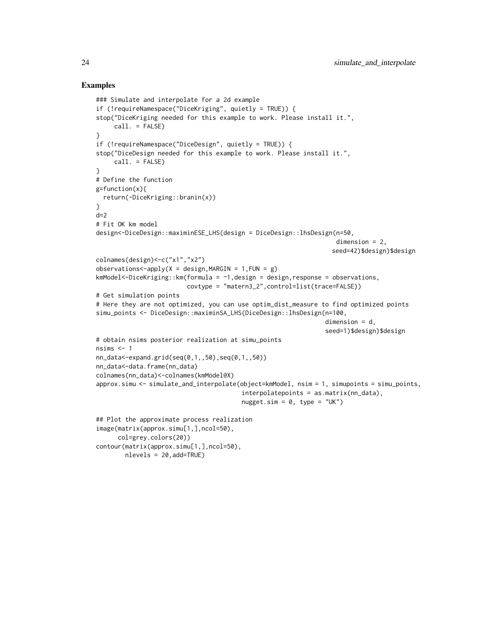#### Examples

```
### Simulate and interpolate for a 2d example
if (!requireNamespace("DiceKriging", quietly = TRUE)) {
stop("DiceKriging needed for this example to work. Please install it.",
     call. = FALSE)
}
if (!requireNamespace("DiceDesign", quietly = TRUE)) {
stop("DiceDesign needed for this example to work. Please install it.",
     call. = FALSE)
}
# Define the function
g=function(x){
 return(-DiceKriging::branin(x))
}
d=2# Fit OK km model
design<-DiceDesign::maximinESE_LHS(design = DiceDesign::lhsDesign(n=50,
                                                                   dimension = 2,
                                                                 seed=42)$design)$design
colnames(design)<-c("x1","x2")
observations<-apply(X = design, MARGIN = 1, FUN = g)
kmModel<-DiceKriging::km(formula = ~1,design = design,response = observations,
                         covtype = "matern3_2",control=list(trace=FALSE))
# Get simulation points
# Here they are not optimized, you can use optim_dist_measure to find optimized points
simu_points <- DiceDesign::maximinSA_LHS(DiceDesign::lhsDesign(n=100,
                                                                dimension = d,
                                                                seed=1)$design)$design
# obtain nsims posterior realization at simu_points
nsims <-1nn_data<-expand.grid(seq(0,1,,50),seq(0,1,,50))
nn_data<-data.frame(nn_data)
colnames(nn_data)<-colnames(kmModel@X)
approx.simu <- simulate_and_interpolate(object=kmModel, nsim = 1, simupoints = simu_points,
                                        interpolatepoints = as.matrix(nn_data),
                                        nugget.sim = 0, type = "UK")
## Plot the approximate process realization
image(matrix(approx.simu[1,],ncol=50),
      col=grey.colors(20))
contour(matrix(approx.simu[1,],ncol=50),
```
nlevels = 20,add=TRUE)